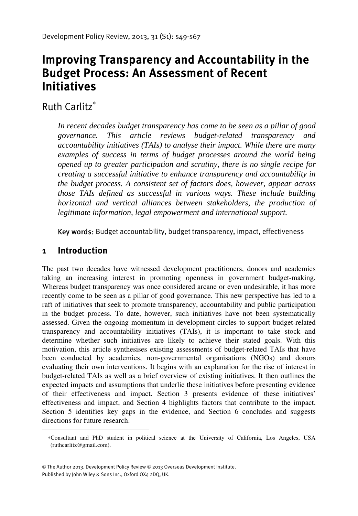# Improving Transparency and Accountability in the Budget Process: An Assessment of Recent Initiatives

Ruth Carlitz<sup>∗</sup>

*In recent decades budget transparency has come to be seen as a pillar of good governance. This article reviews budget-related transparency and accountability initiatives (TAIs) to analyse their impact. While there are many examples of success in terms of budget processes around the world being opened up to greater participation and scrutiny, there is no single recipe for creating a successful initiative to enhance transparency and accountability in the budget process. A consistent set of factors does, however, appear across those TAIs defined as successful in various ways. These include building horizontal and vertical alliances between stakeholders, the production of legitimate information, legal empowerment and international support.* 

Key words: Budget accountability, budget transparency, impact, effectiveness

# 1 Introduction

 $\overline{a}$ 

The past two decades have witnessed development practitioners, donors and academics taking an increasing interest in promoting openness in government budget-making. Whereas budget transparency was once considered arcane or even undesirable, it has more recently come to be seen as a pillar of good governance. This new perspective has led to a raft of initiatives that seek to promote transparency, accountability and public participation in the budget process. To date, however, such initiatives have not been systematically assessed. Given the ongoing momentum in development circles to support budget-related transparency and accountability initiatives (TAIs), it is important to take stock and determine whether such initiatives are likely to achieve their stated goals. With this motivation, this article synthesises existing assessments of budget-related TAIs that have been conducted by academics, non-governmental organisations (NGOs) and donors evaluating their own interventions. It begins with an explanation for the rise of interest in budget-related TAIs as well as a brief overview of existing initiatives. It then outlines the expected impacts and assumptions that underlie these initiatives before presenting evidence of their effectiveness and impact. Section 3 presents evidence of these initiatives' effectiveness and impact, and Section 4 highlights factors that contribute to the impact. Section 5 identifies key gaps in the evidence, and Section 6 concludes and suggests directions for future research.

<sup>∗</sup>Consultant and PhD student in political science at the University of California, Los Angeles, USA (ruthcarlitz@gmail.com).

<sup>©</sup> The Author 2013. Development Policy Review © 2013 Overseas Development Institute. Published by John Wiley & Sons Inc., Oxford OX4 2DQ, UK.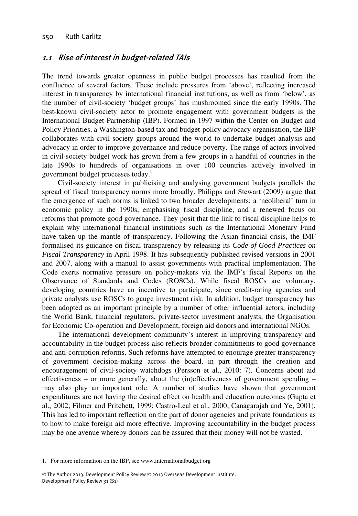#### 1.1 Rise of interest in budget-related TAIs

The trend towards greater openness in public budget processes has resulted from the confluence of several factors. These include pressures from 'above', reflecting increased interest in transparency by international financial institutions, as well as from 'below', as the number of civil-society 'budget groups' has mushroomed since the early 1990s. The best-known civil-society actor to promote engagement with government budgets is the International Budget Partnership (IBP). Formed in 1997 within the Center on Budget and Policy Priorities, a Washington-based tax and budget-policy advocacy organisation, the IBP collaborates with civil-society groups around the world to undertake budget analysis and advocacy in order to improve governance and reduce poverty. The range of actors involved in civil-society budget work has grown from a few groups in a handful of countries in the late 1990s to hundreds of organisations in over 100 countries actively involved in government budget processes today.<sup>1</sup>

Civil-society interest in publicising and analysing government budgets parallels the spread of fiscal transparency norms more broadly. Philipps and Stewart (2009) argue that the emergence of such norms is linked to two broader developments: a 'neoliberal' turn in economic policy in the 1990s, emphasising fiscal discipline, and a renewed focus on reforms that promote good governance. They posit that the link to fiscal discipline helps to explain why international financial institutions such as the International Monetary Fund have taken up the mantle of transparency. Following the Asian financial crisis, the IMF formalised its guidance on fiscal transparency by releasing its *Code of Good Practices on Fiscal Transparency* in April 1998. It has subsequently published revised versions in 2001 and 2007, along with a manual to assist governments with practical implementation. The Code exerts normative pressure on policy-makers via the IMF's fiscal Reports on the Observance of Standards and Codes (ROSCs). While fiscal ROSCs are voluntary, developing countries have an incentive to participate, since credit-rating agencies and private analysts use ROSCs to gauge investment risk. In addition, budget transparency has been adopted as an important principle by a number of other influential actors, including the World Bank, financial regulators, private-sector investment analysts, the Organisation for Economic Co-operation and Development, foreign aid donors and international NGOs.

The international development community's interest in improving transparency and accountability in the budget process also reflects broader commitments to good governance and anti-corruption reforms. Such reforms have attempted to enourage greater transparency of government decision-making across the board, in part through the creation and encouragement of civil-society watchdogs (Persson et al., 2010: 7). Concerns about aid effectiveness – or more generally, about the (in)effectiveness of government spending – may also play an important role. A number of studies have shown that government expenditures are not having the desired effect on health and education outcomes (Gupta et al., 2002; Filmer and Pritchett, 1999; Castro-Leal et al., 2000; Canagarajah and Ye, 2001). This has led to important reflection on the part of donor agencies and private foundations as to how to make foreign aid more effective. Improving accountability in the budget process may be one avenue whereby donors can be assured that their money will not be wasted.

<sup>1.</sup> For more information on the IBP, see www.internationalbudget.org

<sup>©</sup> The Author 2013. Development Policy Review © 2013 Overseas Development Institute. Development Policy Review 31 (S1)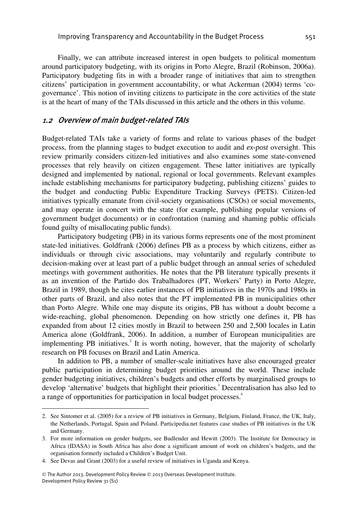Finally, we can attribute increased interest in open budgets to political momentum around participatory budgeting, with its origins in Porto Alegre, Brazil (Robinson, 2006a). Participatory budgeting fits in with a broader range of initiatives that aim to strengthen citizens' participation in government accountability, or what Ackerman (2004) terms 'cogovernance'. This notion of inviting citizens to participate in the core activities of the state is at the heart of many of the TAIs discussed in this article and the others in this volume.

#### 1.2 Overview of main budget-related TAIs

Budget-related TAIs take a variety of forms and relate to various phases of the budget process, from the planning stages to budget execution to audit and *ex-post* oversight. This review primarily considers citizen-led initiatives and also examines some state-convened processes that rely heavily on citizen engagement. These latter initiatives are typically designed and implemented by national, regional or local governments. Relevant examples include establishing mechanisms for participatory budgeting, publishing citizens' guides to the budget and conducting Public Expenditure Tracking Surveys (PETS). Citizen-led initiatives typically emanate from civil-society organisations (CSOs) or social movements, and may operate in concert with the state (for example, publishing popular versions of government budget documents) or in confrontation (naming and shaming public officials found guilty of misallocating public funds).

Participatory budgeting (PB) in its various forms represents one of the most prominent state-led initiatives. Goldfrank (2006) defines PB as a process by which citizens, either as individuals or through civic associations, may voluntarily and regularly contribute to decision-making over at least part of a public budget through an annual series of scheduled meetings with government authorities. He notes that the PB literature typically presents it as an invention of the Partido dos Trabalhadores (PT, Workers' Party) in Porto Alegre, Brazil in 1989, though he cites earlier instances of PB initiatives in the 1970s and 1980s in other parts of Brazil, and also notes that the PT implemented PB in municipalities other than Porto Alegre. While one may dispute its origins, PB has without a doubt become a wide-reaching, global phenomenon. Depending on how strictly one defines it, PB has expanded from about 12 cities mostly in Brazil to between 250 and 2,500 locales in Latin America alone (Goldfrank, 2006). In addition, a number of European municipalities are implementing PB initiatives.<sup>2</sup> It is worth noting, however, that the majority of scholarly research on PB focuses on Brazil and Latin America.

In addition to PB, a number of smaller-scale initiatives have also encouraged greater public participation in determining budget priorities around the world. These include gender budgeting initiatives, children's budgets and other efforts by marginalised groups to develop 'alternative' budgets that highlight their priorities.<sup>3</sup> Decentralisation has also led to a range of opportunities for participation in local budget processes.<sup>4</sup>

<sup>2.</sup> See Sintomer et al. (2005) for a review of PB initiatives in Germany, Belgium, Finland, France, the UK, Italy, the Netherlands, Portugal, Spain and Poland. Participedia.net features case studies of PB initiatives in the UK and Germany.

<sup>3.</sup> For more information on gender budgets, see Budlender and Hewitt (2003). The Institute for Democracy in Africa (IDASA) in South Africa has also done a significant amount of work on children's budgets, and the organisation formerly included a Children's Budget Unit.

<sup>4.</sup> See Devas and Grant (2003) for a useful review of initiatives in Uganda and Kenya.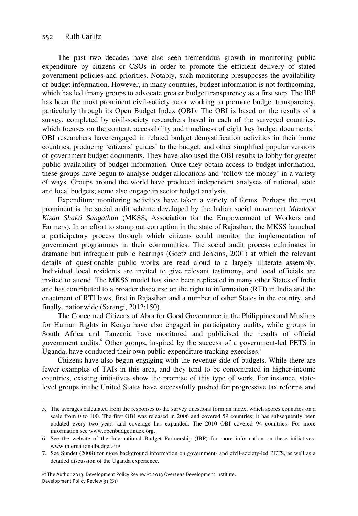$\overline{a}$ 

The past two decades have also seen tremendous growth in monitoring public expenditure by citizens or CSOs in order to promote the efficient delivery of stated government policies and priorities. Notably, such monitoring presupposes the availability of budget information. However, in many countries, budget information is not forthcoming, which has led fmany groups to advocate greater budget transparency as a first step. The IBP has been the most prominent civil-society actor working to promote budget transparency, particularly through its Open Budget Index (OBI). The OBI is based on the results of a survey, completed by civil-society researchers based in each of the surveyed countries, which focuses on the content, accessibility and timeliness of eight key budget documents.<sup>5</sup> OBI researchers have engaged in related budget demystification activities in their home countries, producing 'citizens' guides' to the budget, and other simplified popular versions of government budget documents. They have also used the OBI results to lobby for greater public availability of budget information. Once they obtain access to budget information, these groups have begun to analyse budget allocations and 'follow the money' in a variety of ways. Groups around the world have produced independent analyses of national, state and local budgets; some also engage in sector budget analysis.

Expenditure monitoring activities have taken a variety of forms. Perhaps the most prominent is the social audit scheme developed by the Indian social movement *Mazdoor Kisan Shakti Sangathan* (MKSS, Association for the Empowerment of Workers and Farmers). In an effort to stamp out corruption in the state of Rajasthan, the MKSS launched a participatory process through which citizens could monitor the implementation of government programmes in their communities. The social audit process culminates in dramatic but infrequent public hearings (Goetz and Jenkins, 2001) at which the relevant details of questionable public works are read aloud to a largely illiterate assembly. Individual local residents are invited to give relevant testimony, and local officials are invited to attend. The MKSS model has since been replicated in many other States of India and has contributed to a broader discourse on the right to information (RTI) in India and the enactment of RTI laws, first in Rajasthan and a number of other States in the country, and finally, nationwide (Sarangi, 2012:150).

The Concerned Citizens of Abra for Good Governance in the Philippines and Muslims for Human Rights in Kenya have also engaged in participatory audits, while groups in South Africa and Tanzania have monitored and publicised the results of official government audits. 6 Other groups, inspired by the success of a government-led PETS in Uganda, have conducted their own public expenditure tracking exercises.<sup>7</sup>

Citizens have also begun engaging with the revenue side of budgets. While there are fewer examples of TAIs in this area, and they tend to be concentrated in higher-income countries, existing initiatives show the promise of this type of work. For instance, statelevel groups in the United States have successfully pushed for progressive tax reforms and

<sup>5.</sup> The averages calculated from the responses to the survey questions form an index, which scores countries on a scale from 0 to 100. The first OBI was released in 2006 and covered 59 countries; it has subsequently been updated every two years and coverage has expanded. The 2010 OBI covered 94 countries. For more information see www.openbudgetindex.org.

<sup>6.</sup> See the website of the International Budget Partnership (IBP) for more information on these initiatives: www.internationalbudget.org

<sup>7.</sup> See Sundet (2008) for more background information on government- and civil-society-led PETS, as well as a detailed discussion of the Uganda experience.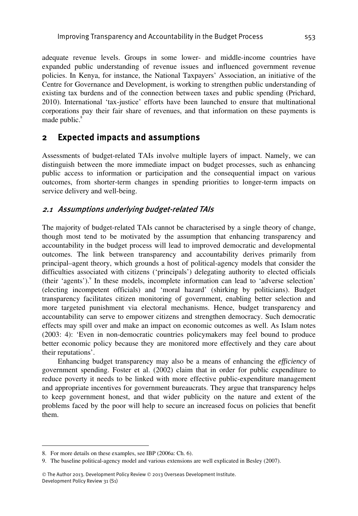adequate revenue levels. Groups in some lower- and middle-income countries have expanded public understanding of revenue issues and influenced government revenue policies. In Kenya, for instance, the National Taxpayers' Association, an initiative of the Centre for Governance and Development, is working to strengthen public understanding of existing tax burdens and of the connection between taxes and public spending (Prichard, 2010). International 'tax-justice' efforts have been launched to ensure that multinational corporations pay their fair share of revenues, and that information on these payments is made public.<sup>8</sup>

## 2 Expected impacts and assumptions

Assessments of budget-related TAIs involve multiple layers of impact. Namely, we can distinguish between the more immediate impact on budget processes, such as enhancing public access to information or participation and the consequential impact on various outcomes, from shorter-term changes in spending priorities to longer-term impacts on service delivery and well-being.

#### 2.1 Assumptions underlying budget-related TAIs

The majority of budget-related TAIs cannot be characterised by a single theory of change, though most tend to be motivated by the assumption that enhancing transparency and accountability in the budget process will lead to improved democratic and developmental outcomes. The link between transparency and accountability derives primarily from principal–agent theory, which grounds a host of political-agency models that consider the difficulties associated with citizens ('principals') delegating authority to elected officials (their 'agents').<sup>9</sup> In these models, incomplete information can lead to 'adverse selection' (electing incompetent officials) and 'moral hazard' (shirking by politicians). Budget transparency facilitates citizen monitoring of government, enabling better selection and more targeted punishment via electoral mechanisms. Hence, budget transparency and accountability can serve to empower citizens and strengthen democracy. Such democratic effects may spill over and make an impact on economic outcomes as well. As Islam notes (2003: 4): 'Even in non-democratic countries policymakers may feel bound to produce better economic policy because they are monitored more effectively and they care about their reputations'.

Enhancing budget transparency may also be a means of enhancing the *efficiency* of government spending. Foster et al. (2002) claim that in order for public expenditure to reduce poverty it needs to be linked with more effective public-expenditure management and appropriate incentives for government bureaucrats. They argue that transparency helps to keep government honest, and that wider publicity on the nature and extent of the problems faced by the poor will help to secure an increased focus on policies that benefit them.

 $\overline{a}$ 

<sup>8.</sup> For more details on these examples, see IBP (2006a: Ch. 6).

<sup>9.</sup> The baseline political-agency model and various extensions are well explicated in Besley (2007).

<sup>©</sup> The Author 2013. Development Policy Review © 2013 Overseas Development Institute. Development Policy Review 31 (S1)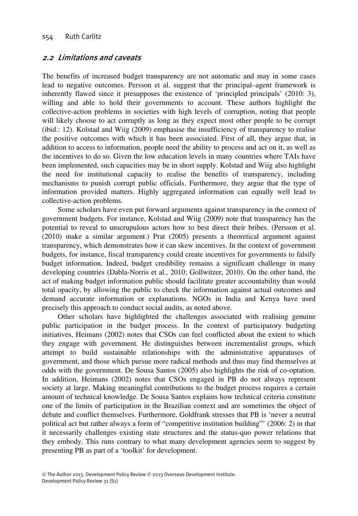#### 2.2 Limitations and caveats

The benefits of increased budget transparency are not automatic and may in some cases lead to negative outcomes. Persson et al. suggest that the principal–agent framework is inherently flawed since it presupposes the existence of 'principled principals' (2010: 3), willing and able to hold their governments to account. These authors highlight the collective-action problems in societies with high levels of corruption, noting that people will likely choose to act corruptly as long as they expect most other people to be corrupt (ibid.: 12). Kolstad and Wiig (2009) emphasise the insufficiency of transparency to realise the positive outcomes with which it has been associated. First of all, they argue that, in addition to access to information, people need the ability to process and act on it, as well as the incentives to do so. Given the low education levels in many countries where TAIs have been implemented, such capacities may be in short supply. Kolstad and Wiig also highlight the need for institutional capacity to realise the benefits of transparency, including mechanisms to punish corrupt public officials. Furthermore, they argue that the type of information provided matters. Highly aggregated information can equally well lead to collective-action problems.

Some scholars have even put forward arguments against transparency in the context of government budgets. For instance, Kolstad and Wiig (2009) note that transparency has the potential to reveal to unscrupulous actors how to best direct their bribes. (Persson et al. (2010) make a similar argument.) Prat (2005) presents a theoretical argument against transparency, which demonstrates how it can skew incentives. In the context of government budgets, for instance, fiscal transparency could create incentives for governments to falsify budget information. Indeed, budget credibility remains a significant challenge in many developing countries (Dabla-Norris et al., 2010; Gollwitzer, 2010). On the other hand, the act of making budget information public should facilitate greater accountability than would total opacity, by allowing the public to check the information against actual outcomes and demand accurate information or explanations. NGOs in India and Kenya have used precisely this approach to conduct social audits, as noted above.

Other scholars have highlighted the challenges associated with realising genuine public participation in the budget process. In the context of participatory budgeting initiatives, Heimans (2002) notes that CSOs can feel conflicted about the extent to which they engage with government. He distinguishes between incrementalist groups, which attempt to build sustainable relationships with the administrative apparatuses of government, and those which pursue more radical methods and thus may find themselves at odds with the government. De Sousa Santos (2005) also highlights the risk of co-optation. In addition, Heimans (2002) notes that CSOs engaged in PB do not always represent society at large. Making meaningful contributions to the budget process requires a certain amount of technical knowledge. De Sousa Santos explains how technical criteria constitute one of the limits of participation in the Brazilian context and are sometimes the object of debate and conflict themselves. Furthermore, Goldfrank stresses that PB is 'never a neutral political act but rather always a form of "competitive institution building"' (2006: 2) in that it necessarily challenges existing state structures and the status-quo power relations that they embody. This runs contrary to what many development agencies seem to suggest by presenting PB as part of a 'toolkit' for development.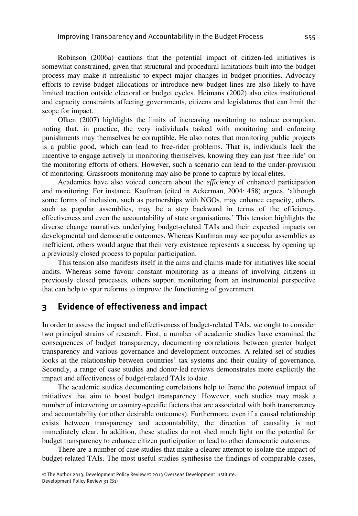Robinson (2006a) cautions that the potential impact of citizen-led initiatives is somewhat constrained, given that structural and procedural limitations built into the budget process may make it unrealistic to expect major changes in budget priorities. Advocacy efforts to revise budget allocations or introduce new budget lines are also likely to have limited traction outside electoral or budget cycles. Heimans (2002) also cites institutional and capacity constraints affecting governments, citizens and legislatures that can limit the scope for impact.

Olken (2007) highlights the limits of increasing monitoring to reduce corruption, noting that, in practice, the very individuals tasked with monitoring and enforcing punishments may themselves be corruptible. He also notes that monitoring public projects is a public good, which can lead to free-rider problems. That is, individuals lack the incentive to engage actively in monitoring themselves, knowing they can just 'free ride' on the monitoring efforts of others. However, such a scenario can lead to the under-provision of monitoring. Grassroots monitoring may also be prone to capture by local elites.

Academics have also voiced concern about the *efficiency* of enhanced participation and monitoring. For instance, Kaufman (cited in Ackerman, 2004: 458) argues, 'although some forms of inclusion, such as partnerships with NGOs, may enhance capacity, others, such as popular assemblies, may be a step backward in terms of the efficiency, effectiveness and even the accountability of state organisations.' This tension highlights the diverse change narratives underlying budget-related TAIs and their expected impacts on developmental and democratic outcomes. Whereas Kaufman may see popular assemblies as inefficient, others would argue that their very existence represents a success, by opening up a previously closed process to popular participation.

This tension also manifests itself in the aims and claims made for initiatives like social audits. Whereas some favour constant monitoring as a means of involving citizens in previously closed processes, others support monitoring from an instrumental perspective that can help to spur reforms to improve the functioning of government.

## 3 Evidence of effectiveness and impact

In order to assess the impact and effectiveness of budget-related TAIs, we ought to consider two principal strains of research. First, a number of academic studies have examined the consequences of budget transparency, documenting correlations between greater budget transparency and various governance and development outcomes. A related set of studies looks at the relationship between countries' tax systems and their quality of governance. Secondly, a range of case studies and donor-led reviews demonstrates more explicitly the impact and effectiveness of budget-related TAIs to date.

The academic studies documenting correlations help to frame the *potential* impact of initiatives that aim to boost budget transparency. However, such studies may mask a number of intervening or country-specific factors that are associated with both transparency and accountability (or other desirable outcomes). Furthermore, even if a causal relationship exists between transparency and accountability, the direction of causality is not immediately clear. In addition, these studies do not shed much light on the potential for budget transparency to enhance citizen participation or lead to other democratic outcomes.

There are a number of case studies that make a clearer attempt to isolate the impact of budget-related TAIs. The most useful studies synthesise the findings of comparable cases,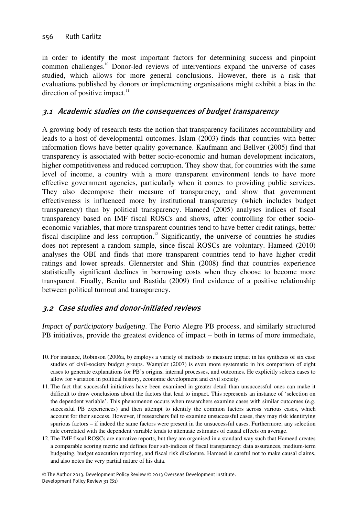in order to identify the most important factors for determining success and pinpoint common challenges.<sup>10</sup> Donor-led reviews of interventions expand the universe of cases studied, which allows for more general conclusions. However, there is a risk that evaluations published by donors or implementing organisations might exhibit a bias in the direction of positive impact. $\frac{11}{11}$ 

#### 3.1 Academic studies on the consequences of budget transparency

A growing body of research tests the notion that transparency facilitates accountability and leads to a host of developmental outcomes. Islam (2003) finds that countries with better information flows have better quality governance. Kaufmann and Bellver (2005) find that transparency is associated with better socio-economic and human development indicators, higher competitiveness and reduced corruption. They show that, for countries with the same level of income, a country with a more transparent environment tends to have more effective government agencies, particularly when it comes to providing public services. They also decompose their measure of transparency, and show that government effectiveness is influenced more by institutional transparency (which includes budget transparency) than by political transparency. Hameed (2005) analyses indices of fiscal transparency based on IMF fiscal ROSCs and shows, after controlling for other socioeconomic variables, that more transparent countries tend to have better credit ratings, better fiscal discipline and less corruption.<sup>12</sup> Significantly, the universe of countries he studies does not represent a random sample, since fiscal ROSCs are voluntary. Hameed (2010) analyses the OBI and finds that more transparent countries tend to have higher credit ratings and lower spreads. Glennerster and Shin (2008) find that countries experience statistically significant declines in borrowing costs when they choose to become more transparent. Finally, Benito and Bastida (2009) find evidence of a positive relationship between political turnout and transparency.

### 3.2 Case studies and donor-initiated reviews

1

*Impact of participatory budgeting*. The Porto Alegre PB process, and similarly structured PB initiatives, provide the greatest evidence of impact – both in terms of more immediate,

<sup>10.</sup> For instance, Robinson (2006a, b) employs a variety of methods to measure impact in his synthesis of six case studies of civil-society budget groups. Wampler (2007) is even more systematic in his comparison of eight cases to generate explanations for PB's origins, internal processes, and outcomes. He explicitly selects cases to allow for variation in political history, economic development and civil society.

<sup>11.</sup> The fact that successful initiatives have been examined in greater detail than unsuccessful ones can make it difficult to draw conclusions about the factors that lead to impact. This represents an instance of 'selection on the dependent variable'. This phenomenon occurs when researchers examine cases with similar outcomes (e.g. successful PB experiences) and then attempt to identify the common factors across various cases, which account for their success. However, if researchers fail to examine unsuccessful cases, they may risk identifying spurious factors – if indeed the same factors were present in the unsuccessful cases. Furthermore, any selection rule correlated with the dependent variable tends to attenuate estimates of causal effects on average.

<sup>12.</sup> The IMF fiscal ROSCs are narrative reports, but they are organised in a standard way such that Hameed creates a comparable scoring metric and defines four sub-indices of fiscal transparency: data assurances, medium-term budgeting, budget execution reporting, and fiscal risk disclosure. Hameed is careful not to make causal claims, and also notes the very partial nature of his data.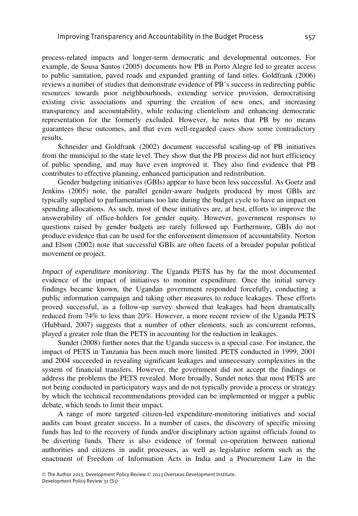process-related impacts and longer-term democratic and developmental outcomes. For example, de Sousa Santos (2005) documents how PB in Porto Alegre led to greater access to public sanitation, paved roads and expanded granting of land titles. Goldfrank (2006) reviews a number of studies that demonstrate evidence of PB's success in redirecting public resources towards poor neighbourhoods, extending service provision, democratising existing civic associations and spurring the creation of new ones, and increasing transparency and accountability, while reducing clientelism and enhancing democratic representation for the formerly excluded. However, he notes that PB by no means guarantees these outcomes, and that even well-regarded cases show some contradictory results.

Schneider and Goldfrank (2002) document successful scaling-up of PB initiatives from the municipal to the state level. They show that the PB process did not hurt efficiency of public spending, and may have even improved it. They also find evidence that PB contributes to effective planning, enhanced participation and redistribution.

Gender budgeting initiatives (GBIs) appear to have been less successful. As Goetz and Jenkins (2005) note, the parallel gender-aware budgets produced by most GBIs are typically supplied to parliamentarians too late during the budget cycle to have an impact on spending allocations. As such, most of these initiatives are, at best, efforts to improve the answerability of office-holders for gender equity. However, government responses to questions raised by gender budgets are rarely followed up. Furthermore, GBIs do not produce evidence that can be used for the enforcement dimension of accountability. Norton and Elson (2002) note that successful GBIs are often facets of a broader popular political movement or project.

*Impact of expenditure monitoring*. The Uganda PETS has by far the most documented evidence of the impact of initiatives to monitor expenditure. Once the initial survey findings became known, the Ugandan government responded forcefully, conducting a public information campaign and taking other measures to reduce leakages. These efforts proved successful, as a follow-up survey showed that leakages had been dramatically reduced from 74% to less than 20%. However, a more recent review of the Uganda PETS (Hubbard, 2007) suggests that a number of other elements, such as concurrent reforms, played a greater role than the PETS in accounting for the reduction in leakages.

Sundet (2008) further notes that the Uganda success is a special case. For instance, the impact of PETS in Tanzania has been much more limited. PETS conducted in 1999, 2001 and 2004 succeeded in revealing significant leakages and unnecessary complexities in the system of financial transfers. However, the government did not accept the findings or address the problems the PETS revealed. More broadly, Sundet notes that most PETS are not being conducted in participatory ways and do not typically provide a process or strategy by which the technical recommendations provided can be implemented or trigger a public debate, which tends to limit their impact.

A range of more targeted citizen-led expenditure-monitoring initiatives and social audits can boast greater success. In a number of cases, the discovery of specific missing funds has led to the recovery of funds and/or disciplinary action against officials found to be diverting funds. There is also evidence of formal co-operation between national authorities and citizens in audit processes, as well as legislative reform such as the enactment of Freedom of Information Acts in India and a Procurement Law in the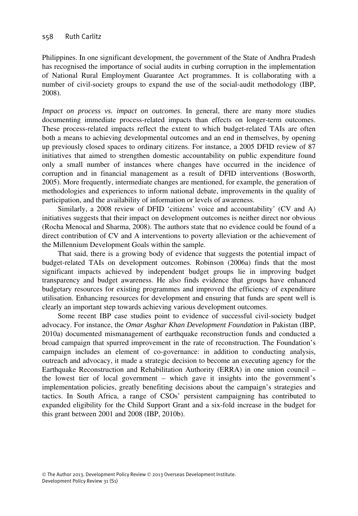Philippines. In one significant development, the government of the State of Andhra Pradesh has recognised the importance of social audits in curbing corruption in the implementation of National Rural Employment Guarantee Act programmes. It is collaborating with a number of civil-society groups to expand the use of the social-audit methodology (IBP, 2008).

*Impact on process vs. impact on outcomes*. In general, there are many more studies documenting immediate process-related impacts than effects on longer-term outcomes. These process-related impacts reflect the extent to which budget-related TAIs are often both a means to achieving developmental outcomes and an end in themselves, by opening up previously closed spaces to ordinary citizens. For instance, a 2005 DFID review of 87 initiatives that aimed to strengthen domestic accountability on public expenditure found only a small number of instances where changes have occurred in the incidence of corruption and in financial management as a result of DFID interventions (Bosworth, 2005). More frequently, intermediate changes are mentioned, for example, the generation of methodologies and experiences to inform national debate, improvements in the quality of participation, and the availability of information or levels of awareness.

Similarly, a 2008 review of DFID 'citizens' voice and accountability' (CV and A) initiatives suggests that their impact on development outcomes is neither direct nor obvious (Rocha Menocal and Sharma, 2008). The authors state that no evidence could be found of a direct contribution of CV and A interventions to poverty alleviation or the achievement of the Millennium Development Goals within the sample.

That said, there is a growing body of evidence that suggests the potential impact of budget-related TAIs on development outcomes. Robinson (2006a) finds that the most significant impacts achieved by independent budget groups lie in improving budget transparency and budget awareness. He also finds evidence that groups have enhanced budgetary resources for existing programmes and improved the efficiency of expenditure utilisation. Enhancing resources for development and ensuring that funds are spent well is clearly an important step towards achieving various development outcomes.

Some recent IBP case studies point to evidence of successful civil-society budget advocacy. For instance, the *Omar Asghar Khan Development Foundation* in Pakistan (IBP, 2010a) documented mismanagement of earthquake reconstruction funds and conducted a broad campaign that spurred improvement in the rate of reconstruction. The Foundation's campaign includes an element of co-governance: in addition to conducting analysis, outreach and advocacy, it made a strategic decision to become an executing agency for the Earthquake Reconstruction and Rehabilitation Authority (ERRA) in one union council – the lowest tier of local government – which gave it insights into the government's implementation policies, greatly benefiting decisions about the campaign's strategies and tactics. In South Africa, a range of CSOs' persistent campaigning has contributed to expanded eligibility for the Child Support Grant and a six-fold increase in the budget for this grant between 2001 and 2008 (IBP, 2010b).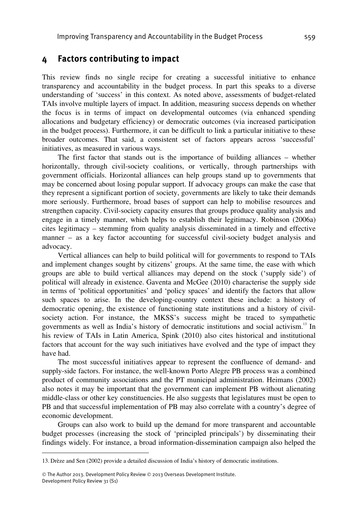## 4 Factors contributing to impact

This review finds no single recipe for creating a successful initiative to enhance transparency and accountability in the budget process. In part this speaks to a diverse understanding of 'success' in this context. As noted above, assessments of budget-related TAIs involve multiple layers of impact. In addition, measuring success depends on whether the focus is in terms of impact on developmental outcomes (via enhanced spending allocations and budgetary efficiency) or democratic outcomes (via increased participation in the budget process). Furthermore, it can be difficult to link a particular initiative to these broader outcomes. That said, a consistent set of factors appears across 'successful' initiatives, as measured in various ways.

The first factor that stands out is the importance of building alliances – whether horizontally, through civil-society coalitions, or vertically, through partnerships with government officials. Horizontal alliances can help groups stand up to governments that may be concerned about losing popular support. If advocacy groups can make the case that they represent a significant portion of society, governments are likely to take their demands more seriously. Furthermore, broad bases of support can help to mobilise resources and strengthen capacity. Civil-society capacity ensures that groups produce quality analysis and engage in a timely manner, which helps to establish their legitimacy. Robinson (2006a) cites legitimacy – stemming from quality analysis disseminated in a timely and effective manner – as a key factor accounting for successful civil-society budget analysis and advocacy.

Vertical alliances can help to build political will for governments to respond to TAIs and implement changes sought by citizens' groups. At the same time, the ease with which groups are able to build vertical alliances may depend on the stock ('supply side') of political will already in existence. Gaventa and McGee (2010) characterise the supply side in terms of 'political opportunities' and 'policy spaces' and identify the factors that allow such spaces to arise. In the developing-country context these include: a history of democratic opening, the existence of functioning state institutions and a history of civilsociety action. For instance, the MKSS's success might be traced to sympathetic governments as well as India's history of democratic institutions and social activism.13 In his review of TAIs in Latin America, Spink (2010) also cites historical and institutional factors that account for the way such initiatives have evolved and the type of impact they have had.

The most successful initiatives appear to represent the confluence of demand- and supply-side factors. For instance, the well-known Porto Alegre PB process was a combined product of community associations and the PT municipal administration. Heimans (2002) also notes it may be important that the government can implement PB without alienating middle-class or other key constituencies. He also suggests that legislatures must be open to PB and that successful implementation of PB may also correlate with a country's degree of economic development.

Groups can also work to build up the demand for more transparent and accountable budget processes (increasing the stock of 'principled principals') by disseminating their findings widely. For instance, a broad information-dissemination campaign also helped the

<sup>13.</sup> Drèze and Sen (2002) provide a detailed discussion of India's history of democratic institutions.

<sup>©</sup> The Author 2013. Development Policy Review © 2013 Overseas Development Institute. Development Policy Review 31 (S1)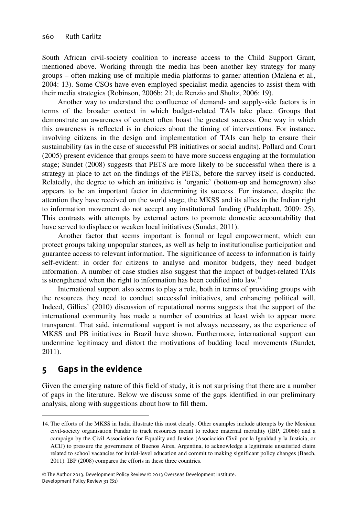South African civil-society coalition to increase access to the Child Support Grant, mentioned above. Working through the media has been another key strategy for many groups – often making use of multiple media platforms to garner attention (Malena et al., 2004: 13). Some CSOs have even employed specialist media agencies to assist them with their media strategies (Robinson, 2006b: 21; de Renzio and Shultz, 2006: 19).

Another way to understand the confluence of demand- and supply-side factors is in terms of the broader context in which budget-related TAIs take place. Groups that demonstrate an awareness of context often boast the greatest success. One way in which this awareness is reflected is in choices about the timing of interventions. For instance, involving citizens in the design and implementation of TAIs can help to ensure their sustainability (as in the case of successful PB initiatives or social audits). Pollard and Court (2005) present evidence that groups seem to have more success engaging at the formulation stage; Sundet (2008) suggests that PETS are more likely to be successful when there is a strategy in place to act on the findings of the PETS, before the survey itself is conducted. Relatedly, the degree to which an initiative is 'organic' (bottom-up and homegrown) also appears to be an important factor in determining its success. For instance, despite the attention they have received on the world stage, the MKSS and its allies in the Indian right to information movement do not accept any institutional funding (Puddephatt, 2009: 25). This contrasts with attempts by external actors to promote domestic accountability that have served to displace or weaken local initiatives (Sundet, 2011).

Another factor that seems important is formal or legal empowerment, which can protect groups taking unpopular stances, as well as help to institutionalise participation and guarantee access to relevant information. The significance of access to information is fairly self-evident: in order for citizens to analyse and monitor budgets, they need budget information. A number of case studies also suggest that the impact of budget-related TAIs is strengthened when the right to information has been codified into law. $14$ 

International support also seems to play a role, both in terms of providing groups with the resources they need to conduct successful initiatives, and enhancing political will. Indeed, Gillies' (2010) discussion of reputational norms suggests that the support of the international community has made a number of countries at least wish to appear more transparent. That said, international support is not always necessary, as the experience of MKSS and PB initiatives in Brazil have shown. Furthermore, international support can undermine legitimacy and distort the motivations of budding local movements (Sundet, 2011).

# 5 Gaps in the evidence

1

Given the emerging nature of this field of study, it is not surprising that there are a number of gaps in the literature. Below we discuss some of the gaps identified in our preliminary analysis, along with suggestions about how to fill them.

<sup>14.</sup> The efforts of the MKSS in India illustrate this most clearly. Other examples include attempts by the Mexican civil-society organisation Fundar to track resources meant to reduce maternal mortality (IBP, 2006b) and a campaign by the Civil Association for Equality and Justice (Asociación Civil por la Igualdad y la Justicia, or ACIJ) to pressure the government of Buenos Aires, Argentina, to acknowledge a legitimate unsatisfied claim related to school vacancies for initial-level education and commit to making significant policy changes (Basch, 2011). IBP (2008) compares the efforts in these three countries.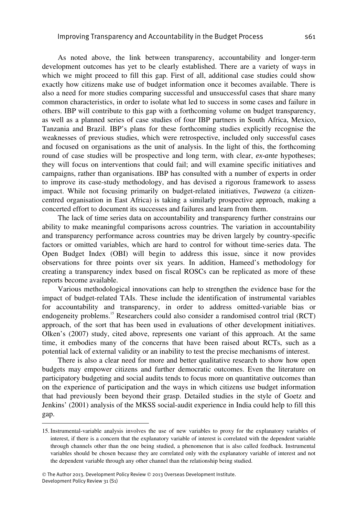As noted above, the link between transparency, accountability and longer-term development outcomes has yet to be clearly established. There are a variety of ways in which we might proceed to fill this gap. First of all, additional case studies could show exactly how citizens make use of budget information once it becomes available. There is also a need for more studies comparing successful and unsuccessful cases that share many common characteristics, in order to isolate what led to success in some cases and failure in others. IBP will contribute to this gap with a forthcoming volume on budget transparency, as well as a planned series of case studies of four IBP partners in South Africa, Mexico, Tanzania and Brazil. IBP's plans for these forthcoming studies explicitly recognise the weaknesses of previous studies, which were retrospective, included only successful cases and focused on organisations as the unit of analysis. In the light of this, the forthcoming round of case studies will be prospective and long term, with clear, *ex-ante* hypotheses; they will focus on interventions that could fail; and will examine specific initiatives and campaigns, rather than organisations. IBP has consulted with a number of experts in order to improve its case-study methodology, and has devised a rigorous framework to assess impact. While not focusing primarily on budget-related initiatives, *Twaweza* (a citizencentred organisation in East Africa) is taking a similarly prospective approach, making a concerted effort to document its successes and failures and learn from them.

The lack of time series data on accountability and transparency further constrains our ability to make meaningful comparisons across countries. The variation in accountability and transparency performance across countries may be driven largely by country-specific factors or omitted variables, which are hard to control for without time-series data. The Open Budget Index (OBI) will begin to address this issue, since it now provides observations for three points over six years. In addition, Hameed's methodology for creating a transparency index based on fiscal ROSCs can be replicated as more of these reports become available.

Various methodological innovations can help to strengthen the evidence base for the impact of budget-related TAIs. These include the identification of instrumental variables for accountability and transparency, in order to address omitted-variable bias or endogeneity problems.<sup>15</sup> Researchers could also consider a randomised control trial (RCT) approach, of the sort that has been used in evaluations of other development initiatives. Olken's (2007) study, cited above, represents one variant of this approach. At the same time, it embodies many of the concerns that have been raised about RCTs, such as a potential lack of external validity or an inability to test the precise mechanisms of interest.

There is also a clear need for more and better qualitative research to show how open budgets may empower citizens and further democratic outcomes. Even the literature on participatory budgeting and social audits tends to focus more on quantitative outcomes than on the experience of participation and the ways in which citizens use budget information that had previously been beyond their grasp. Detailed studies in the style of Goetz and Jenkins' (2001) analysis of the MKSS social-audit experience in India could help to fill this gap.

 $\overline{a}$ 

<sup>15.</sup> Instrumental-variable analysis involves the use of new variables to proxy for the explanatory variables of interest, if there is a concern that the explanatory variable of interest is correlated with the dependent variable through channels other than the one being studied, a phenomenon that is also called feedback. Instrumental variables should be chosen because they are correlated only with the explanatory variable of interest and not the dependent variable through any other channel than the relationship being studied.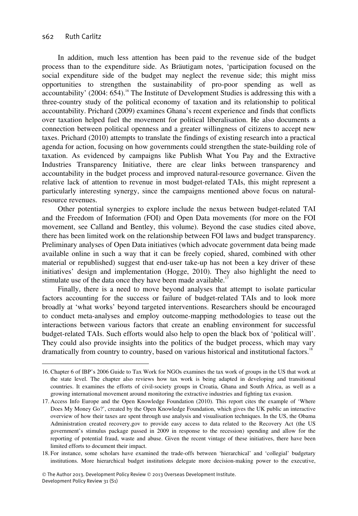1

In addition, much less attention has been paid to the revenue side of the budget process than to the expenditure side. As Bräutigam notes, 'participation focused on the social expenditure side of the budget may neglect the revenue side; this might miss opportunities to strengthen the sustainability of pro-poor spending as well as accountability' (2004: 654).<sup>16</sup> The Institute of Development Studies is addressing this with a three-country study of the political economy of taxation and its relationship to political accountability. Prichard (2009) examines Ghana's recent experience and finds that conflicts over taxation helped fuel the movement for political liberalisation. He also documents a connection between political openness and a greater willingness of citizens to accept new taxes. Prichard (2010) attempts to translate the findings of existing research into a practical agenda for action, focusing on how governments could strengthen the state-building role of taxation. As evidenced by campaigns like Publish What You Pay and the Extractive Industries Transparency Initiative, there are clear links between transparency and accountability in the budget process and improved natural-resource governance. Given the relative lack of attention to revenue in most budget-related TAIs, this might represent a particularly interesting synergy, since the campaigns mentioned above focus on naturalresource revenues.

Other potential synergies to explore include the nexus between budget-related TAI and the Freedom of Information (FOI) and Open Data movements (for more on the FOI movement, see Calland and Bentley, this volume). Beyond the case studies cited above, there has been limited work on the relationship between FOI laws and budget transparency. Preliminary analyses of Open Data initiatives (which advocate government data being made available online in such a way that it can be freely copied, shared, combined with other material or republished) suggest that end-user take-up has not been a key driver of these initiatives' design and implementation (Hogge, 2010). They also highlight the need to stimulate use of the data once they have been made available.<sup>1</sup>

Finally, there is a need to move beyond analyses that attempt to isolate particular factors accounting for the success or failure of budget-related TAIs and to look more broadly at 'what works' beyond targeted interventions. Researchers should be encouraged to conduct meta-analyses and employ outcome-mapping methodologies to tease out the interactions between various factors that create an enabling environment for successful budget-related TAIs. Such efforts would also help to open the black box of 'political will'. They could also provide insights into the politics of the budget process, which may vary dramatically from country to country, based on various historical and institutional factors.<sup>18</sup>

<sup>16.</sup> Chapter 6 of IBP's 2006 Guide to Tax Work for NGOs examines the tax work of groups in the US that work at the state level. The chapter also reviews how tax work is being adapted in developing and transitional countries. It examines the efforts of civil-society groups in Croatia, Ghana and South Africa, as well as a growing international movement around monitoring the extractive industries and fighting tax evasion.

<sup>17.</sup> Access Info Europe and the Open Knowledge Foundation (2010). This report cites the example of 'Where Does My Money Go?', created by the Open Knowledge Foundation, which gives the UK public an interactive overview of how their taxes are spent through use analysis and visualisation techniques. In the US, the Obama Administration created recovery.gov to provide easy access to data related to the Recovery Act (the US government's stimulus package passed in 2009 in response to the recession) spending and allow for the reporting of potential fraud, waste and abuse. Given the recent vintage of these initiatives, there have been limited efforts to document their impact.

<sup>18.</sup> For instance, some scholars have examined the trade-offs between 'hierarchical' and 'collegial' budgetary institutions. More hierarchical budget institutions delegate more decision-making power to the executive,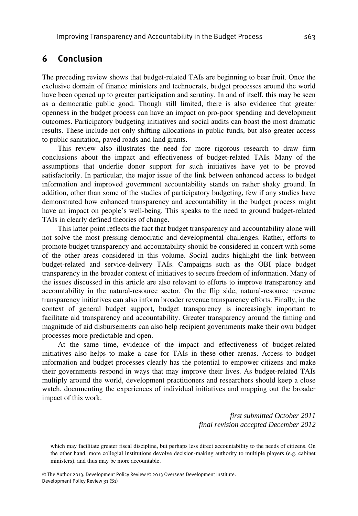## 6 Conclusion

The preceding review shows that budget-related TAIs are beginning to bear fruit. Once the exclusive domain of finance ministers and technocrats, budget processes around the world have been opened up to greater participation and scrutiny. In and of itself, this may be seen as a democratic public good. Though still limited, there is also evidence that greater openness in the budget process can have an impact on pro-poor spending and development outcomes. Participatory budgeting initiatives and social audits can boast the most dramatic results. These include not only shifting allocations in public funds, but also greater access to public sanitation, paved roads and land grants.

This review also illustrates the need for more rigorous research to draw firm conclusions about the impact and effectiveness of budget-related TAIs. Many of the assumptions that underlie donor support for such initiatives have yet to be proved satisfactorily. In particular, the major issue of the link between enhanced access to budget information and improved government accountability stands on rather shaky ground. In addition, other than some of the studies of participatory budgeting, few if any studies have demonstrated how enhanced transparency and accountability in the budget process might have an impact on people's well-being. This speaks to the need to ground budget-related TAIs in clearly defined theories of change.

This latter point reflects the fact that budget transparency and accountability alone will not solve the most pressing democratic and developmental challenges. Rather, efforts to promote budget transparency and accountability should be considered in concert with some of the other areas considered in this volume. Social audits highlight the link between budget-related and service-delivery TAIs. Campaigns such as the OBI place budget transparency in the broader context of initiatives to secure freedom of information. Many of the issues discussed in this article are also relevant to efforts to improve transparency and accountability in the natural-resource sector. On the flip side, natural-resource revenue transparency initiatives can also inform broader revenue transparency efforts. Finally, in the context of general budget support, budget transparency is increasingly important to facilitate aid transparency and accountability. Greater transparency around the timing and magnitude of aid disbursements can also help recipient governments make their own budget processes more predictable and open.

At the same time, evidence of the impact and effectiveness of budget-related initiatives also helps to make a case for TAIs in these other arenas. Access to budget information and budget processes clearly has the potential to empower citizens and make their governments respond in ways that may improve their lives. As budget-related TAIs multiply around the world, development practitioners and researchers should keep a close watch, documenting the experiences of individual initiatives and mapping out the broader impact of this work.

> *first submitted October 2011 final revision accepted December 2012*

© The Author 2013. Development Policy Review © 2013 Overseas Development Institute. Development Policy Review 31 (S1)

which may facilitate greater fiscal discipline, but perhaps less direct accountability to the needs of citizens. On the other hand, more collegial institutions devolve decision-making authority to multiple players (e.g. cabinet ministers), and thus may be more accountable.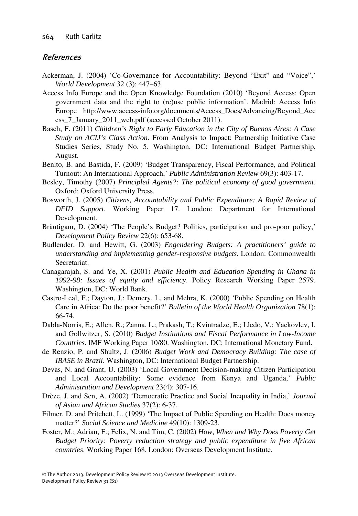#### References

- Ackerman, J. (2004) 'Co-Governance for Accountability: Beyond "Exit" and "Voice",' *World Development* 32 (3): 447–63.
- Access Info Europe and the Open Knowledge Foundation (2010) 'Beyond Access: Open government data and the right to (re)use public information'. Madrid: Access Info Europe http://www.access-info.org/documents/Access\_Docs/Advancing/Beyond\_Acc ess 7 January 2011 web.pdf (accessed October 2011).
- Basch, F. (2011) *Children's Right to Early Education in the City of Buenos Aires: A Case Study on ACIJ's Class Action*. From Analysis to Impact: Partnership Initiative Case Studies Series, Study No. 5. Washington, DC: International Budget Partnership, August.
- Benito, B. and Bastida, F. (2009) 'Budget Transparency, Fiscal Performance, and Political Turnout: An International Approach,' *Public Administration Review* 69(3): 403-17.
- Besley, Timothy (2007) *Principled Agents?: The political economy of good government*. Oxford: Oxford University Press.
- Bosworth, J. (2005) *Citizens, Accountability and Public Expenditure: A Rapid Review of DFID Support*. Working Paper 17. London: Department for International Development.
- Bräutigam, D. (2004) 'The People's Budget? Politics, participation and pro-poor policy,' *Development Policy Review* 22(6): 653-68.
- Budlender, D. and Hewitt, G. (2003) *Engendering Budgets: A practitioners' guide to understanding and implementing gender-responsive budgets*. London: Commonwealth Secretariat.
- Canagarajah, S. and Ye, X. (2001) *Public Health and Education Spending in Ghana in 1992-98: Issues of equity and efficiency*. Policy Research Working Paper 2579. Washington, DC: World Bank.
- Castro-Leal, F.; Dayton, J.; Demery, L. and Mehra, K. (2000) 'Public Spending on Health Care in Africa: Do the poor benefit?' *Bulletin of the World Health Organization* 78(1): 66-74.
- Dabla-Norris, E.; Allen, R.; Zanna, L.; Prakash, T.; Kvintradze, E.; Lledo, V.; Yackovlev, I. and Gollwitzer, S. (2010) *Budget Institutions and Fiscal Performance in Low-Income Countries*. IMF Working Paper 10/80. Washington, DC: International Monetary Fund.
- de Renzio, P. and Shultz, J. (2006) *Budget Work and Democracy Building: The case of IBASE in Brazil*. Washington, DC: International Budget Partnership.
- Devas, N. and Grant, U. (2003) 'Local Government Decision-making Citizen Participation and Local Accountability: Some evidence from Kenya and Uganda,' *Public Administration and Development* 23(4): 307-16.
- Drèze, J. and Sen, A. (2002) 'Democratic Practice and Social Inequality in India,' *Journal of Asian and African Studies* 37(2): 6-37.
- Filmer, D. and Pritchett, L. (1999) 'The Impact of Public Spending on Health: Does money matter?' *Social Science and Medicine* 49(10): 1309-23.
- Foster, M.; Adrian, F.; Felix, N. and Tim, C. (2002) *How, When and Why Does Poverty Get Budget Priority: Poverty reduction strategy and public expenditure in five African countries*. Working Paper 168. London: Overseas Development Institute.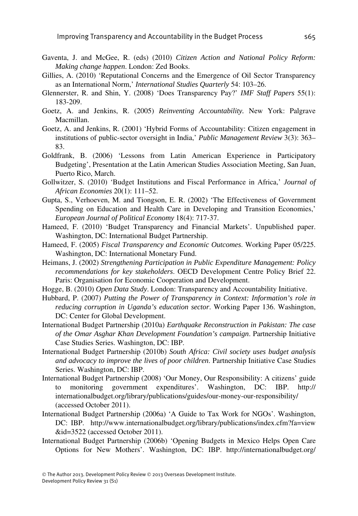- Gaventa, J. and McGee, R. (eds) (2010) *Citizen Action and National Policy Reform: Making change happen*. London: Zed Books.
- Gillies, A. (2010) 'Reputational Concerns and the Emergence of Oil Sector Transparency as an International Norm,' *International Studies Quarterly* 54: 103–26.
- Glennerster, R. and Shin, Y. (2008) 'Does Transparency Pay?' *IMF Staff Papers* 55(1): 183-209.
- Goetz, A. and Jenkins, R. (2005) *Reinventing Accountability.* New York: Palgrave Macmillan.
- Goetz, A. and Jenkins, R. (2001) 'Hybrid Forms of Accountability: Citizen engagement in institutions of public-sector oversight in India,' *Public Management Review* 3(3): 363– 83.
- Goldfrank, B. (2006) 'Lessons from Latin American Experience in Participatory Budgeting', Presentation at the Latin American Studies Association Meeting, San Juan, Puerto Rico, March.
- Gollwitzer, S. (2010) 'Budget Institutions and Fiscal Performance in Africa,' *Journal of African Economies* 20(1): 111–52.
- Gupta, S., Verhoeven, M. and Tiongson, E. R. (2002) 'The Effectiveness of Government Spending on Education and Health Care in Developing and Transition Economies,' *European Journal of Political Economy* 18(4): 717-37.
- Hameed, F. (2010) 'Budget Transparency and Financial Markets'. Unpublished paper. Washington, DC: International Budget Partnership.
- Hameed, F. (2005) *Fiscal Transparency and Economic Outcomes*. Working Paper 05/225. Washington, DC: International Monetary Fund.
- Heimans, J. (2002) *Strengthening Participation in Public Expenditure Management: Policy recommendations for key stakeholders*. OECD Development Centre Policy Brief 22. Paris: Organisation for Economic Cooperation and Development.
- Hogge, B. (2010) *Open Data Study*. London: Transparency and Accountability Initiative.
- Hubbard, P. (2007) *Putting the Power of Transparency in Context: Information's role in reducing corruption in Uganda's education sector*. Working Paper 136. Washington, DC: Center for Global Development.
- International Budget Partnership (2010a) *Earthquake Reconstruction in Pakistan: The case of the Omar Asghar Khan Development Foundation's campaign*. Partnership Initiative Case Studies Series. Washington, DC: IBP.
- International Budget Partnership (2010b) *South Africa: Civil society uses budget analysis and advocacy to improve the lives of poor children*. Partnership Initiative Case Studies Series. Washington, DC: IBP.
- International Budget Partnership (2008) 'Our Money, Our Responsibility: A citizens' guide to monitoring government expenditures'. Washington, DC: IBP. http:// internationalbudget.org/library/publications/guides/our-money-our-responsibility/ (accessed October 2011).
- International Budget Partnership (2006a) 'A Guide to Tax Work for NGOs'. Washington, DC: IBP. http://www.internationalbudget.org/library/publications/index.cfm?fa=view &id=3522 (accessed October 2011).
- International Budget Partnership (2006b) 'Opening Budgets in Mexico Helps Open Care Options for New Mothers'. Washington, DC: IBP. http://internationalbudget.org/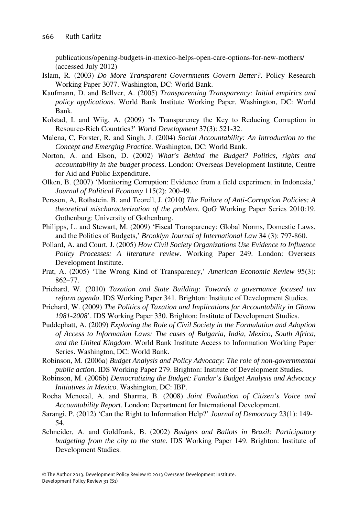publications/opening-budgets-in-mexico-helps-open-care-options-for-new-mothers/ (accessed July 2012)

- Islam, R. (2003) *Do More Transparent Governments Govern Better?*. Policy Research Working Paper 3077. Washington, DC: World Bank.
- Kaufmann, D. and Bellver, A. (2005) *Transparenting Transparency: Initial empirics and policy applications*. World Bank Institute Working Paper. Washington, DC: World Bank.
- Kolstad, I. and Wiig, A. (2009) 'Is Transparency the Key to Reducing Corruption in Resource-Rich Countries?' *World Development* 37(3): 521-32.
- Malena, C, Forster, R. and Singh, J. (2004) *Social Accountability: An Introduction to the Concept and Emerging Practice*. Washington, DC: World Bank.
- Norton, A. and Elson, D. (2002) *What's Behind the Budget? Politics, rights and accountability in the budget process*. London: Overseas Development Institute, Centre for Aid and Public Expenditure.
- Olken, B. (2007) 'Monitoring Corruption: Evidence from a field experiment in Indonesia,' *Journal of Political Economy* 115(2): 200-49.
- Persson, A, Rothstein, B. and Teorell, J. (2010) *The Failure of Anti-Corruption Policies: A theoretical mischaracterization of the problem*. QoG Working Paper Series 2010:19. Gothenburg: University of Gothenburg.
- Philipps, L. and Stewart, M. (2009) 'Fiscal Transparency: Global Norms, Domestic Laws, and the Politics of Budgets,' *Brooklyn Journal of International Law* 34 (3): 797-860.
- Pollard, A. and Court, J. (2005) *How Civil Society Organizations Use Evidence to Influence Policy Processes: A literature review*. Working Paper 249. London: Overseas Development Institute.
- Prat, A. (2005) 'The Wrong Kind of Transparency,' *American Economic Review* 95(3): 862–77.
- Prichard, W. (2010) *Taxation and State Building: Towards a governance focused tax reform agenda*. IDS Working Paper 341. Brighton: Institute of Development Studies.
- Prichard, W. (2009) *The Politics of Taxation and Implications for Accountability in Ghana 1981-2008*'. IDS Working Paper 330. Brighton: Institute of Development Studies.
- Puddephatt, A. (2009) *Exploring the Role of Civil Society in the Formulation and Adoption of Access to Information Laws: The cases of Bulgaria, India, Mexico, South Africa, and the United Kingdom*. World Bank Institute Access to Information Working Paper Series. Washington, DC: World Bank.
- Robinson, M. (2006a) *Budget Analysis and Policy Advocacy: The role of non-governmental public action*. IDS Working Paper 279. Brighton: Institute of Development Studies.
- Robinson, M. (2006b) *Democratizing the Budget: Fundar's Budget Analysis and Advocacy Initiatives in Mexico*. Washington, DC: IBP.
- Rocha Menocal, A. and Sharma, B. (2008) *Joint Evaluation of Citizen's Voice and Accountability Report*. London: Department for International Development.
- Sarangi, P. (2012) 'Can the Right to Information Help?' *Journal of Democracy* 23(1): 149- 54.
- Schneider, A. and Goldfrank, B. (2002) *Budgets and Ballots in Brazil: Participatory budgeting from the city to the state*. IDS Working Paper 149. Brighton: Institute of Development Studies.